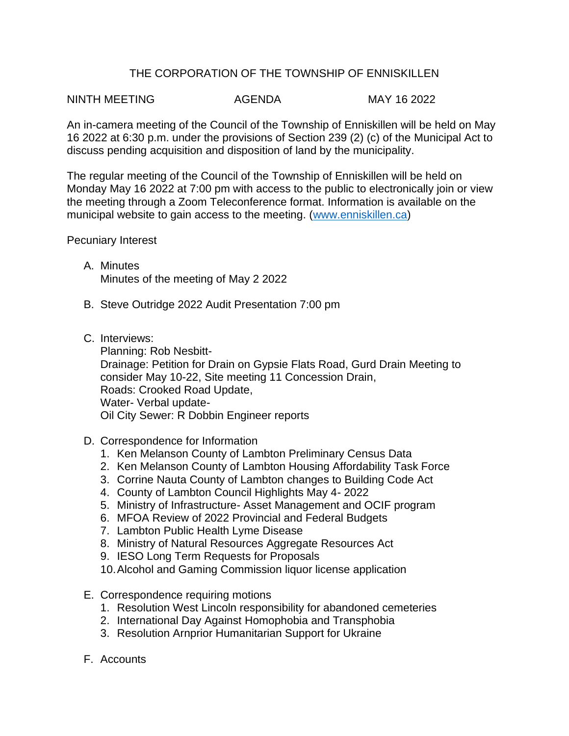# THE CORPORATION OF THE TOWNSHIP OF ENNISKILLEN

## NINTH MEETING AGENDA MAY 16 2022

An in-camera meeting of the Council of the Township of Enniskillen will be held on May 16 2022 at 6:30 p.m. under the provisions of Section 239 (2) (c) of the Municipal Act to discuss pending acquisition and disposition of land by the municipality.

The regular meeting of the Council of the Township of Enniskillen will be held on Monday May 16 2022 at 7:00 pm with access to the public to electronically join or view the meeting through a Zoom Teleconference format. Information is available on the municipal website to gain access to the meeting. [\(www.enniskillen.ca\)](http://www.enniskillen.ca/)

#### Pecuniary Interest

- A. Minutes Minutes of the meeting of May 2 2022
- B. Steve Outridge 2022 Audit Presentation 7:00 pm
- C. Interviews:

Planning: Rob Nesbitt-Drainage: Petition for Drain on Gypsie Flats Road, Gurd Drain Meeting to consider May 10-22, Site meeting 11 Concession Drain, Roads: Crooked Road Update, Water- Verbal update-Oil City Sewer: R Dobbin Engineer reports

- D. Correspondence for Information
	- 1. Ken Melanson County of Lambton Preliminary Census Data
	- 2. Ken Melanson County of Lambton Housing Affordability Task Force
	- 3. Corrine Nauta County of Lambton changes to Building Code Act
	- 4. County of Lambton Council Highlights May 4- 2022
	- 5. Ministry of Infrastructure- Asset Management and OCIF program
	- 6. MFOA Review of 2022 Provincial and Federal Budgets
	- 7. Lambton Public Health Lyme Disease
	- 8. Ministry of Natural Resources Aggregate Resources Act
	- 9. IESO Long Term Requests for Proposals
	- 10.Alcohol and Gaming Commission liquor license application
- E. Correspondence requiring motions
	- 1. Resolution West Lincoln responsibility for abandoned cemeteries
	- 2. International Day Against Homophobia and Transphobia
	- 3. Resolution Arnprior Humanitarian Support for Ukraine
- F. Accounts